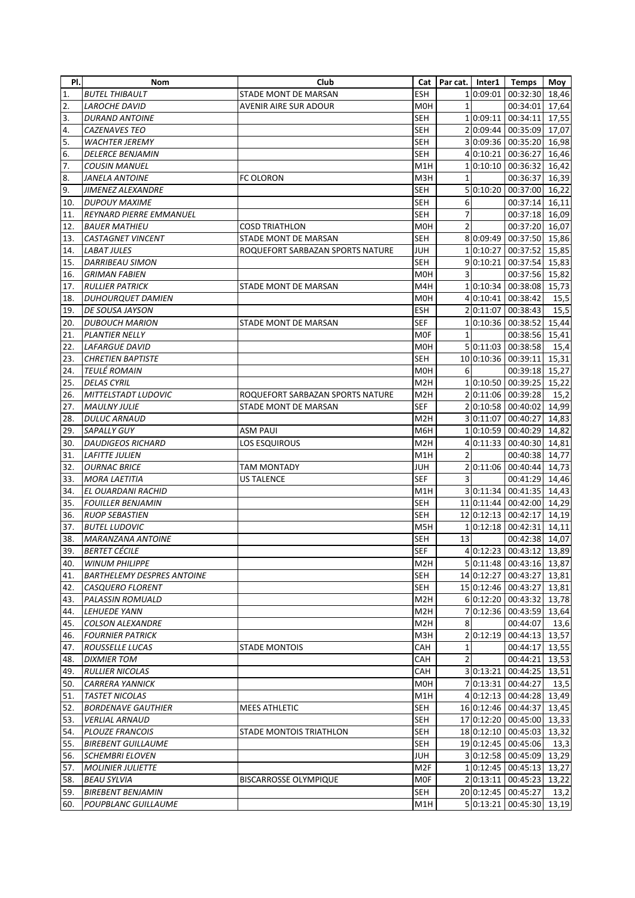| PI. | Nom                               | Club                             |                  | Cat   Par cat.   Inter1 |           | <b>Temps</b>             | Moy            |
|-----|-----------------------------------|----------------------------------|------------------|-------------------------|-----------|--------------------------|----------------|
| 1.  | <b>BUTEL THIBAULT</b>             | STADE MONT DE MARSAN             | <b>ESH</b>       |                         | 1 0:09:01 | 00:32:30                 | 18,46          |
| 2.  | <b>LAROCHE DAVID</b>              | <b>AVENIR AIRE SUR ADOUR</b>     | M <sub>O</sub> H | $\mathbf{1}$            |           | 00:34:01                 | 17,64          |
| 3.  | <b>DURAND ANTOINE</b>             |                                  | SEH              |                         | 1 0:09:11 | 00:34:11                 | 17,55          |
| 4.  | <b>CAZENAVES TEO</b>              |                                  | SEH              |                         |           | 20:09:44 00:35:09        | 17,07          |
| 5.  | <b>WACHTER JEREMY</b>             |                                  | SEH              |                         |           | 30:09:36 00:35:20        | 16,98          |
| 6.  | <b>DELERCE BENJAMIN</b>           |                                  | SEH              |                         |           | 4 0:10:21 00:36:27       | 16,46          |
| 7.  | <b>COUSIN MANUEL</b>              |                                  | M1H              |                         |           | 10:10:10 00:36:32        | 16,42          |
| 8.  | JANELA ANTOINE                    | <b>FC OLORON</b>                 | M3H              | 1                       |           | 00:36:37                 | 16,39          |
| 9.  | JIMENEZ ALEXANDRE                 |                                  | <b>SEH</b>       |                         |           | 5 0:10:20 00:37:00       | 16,22          |
| 10. | <b>DUPOUY MAXIME</b>              |                                  | <b>SEH</b>       | 6                       |           | 00:37:14                 | 16,11          |
| 11. | <b>REYNARD PIERRE EMMANUEL</b>    |                                  | <b>SEH</b>       | 7                       |           | 00:37:18 16,09           |                |
| 12. | <b>BAUER MATHIEU</b>              | <b>COSD TRIATHLON</b>            | <b>MOH</b>       | $\overline{2}$          |           | 00:37:20                 | 16,07          |
| 13. | <b>CASTAGNET VINCENT</b>          | STADE MONT DE MARSAN             | SEH              |                         |           | 8 0:09:49 00:37:50       | 15,86          |
| 14. | LABAT JULES                       | ROQUEFORT SARBAZAN SPORTS NATURE | <b>JUH</b>       |                         |           | 10:10:27 00:37:52        | 15,85          |
| 15. | DARRIBEAU SIMON                   |                                  | SEH              |                         |           | 9 0:10:21 00:37:54       | 15,83          |
| 16. | <b>GRIMAN FABIEN</b>              |                                  | M0H              | 3                       |           | 00:37:56                 | 15,82          |
| 17. | <b>RULLIER PATRICK</b>            | STADE MONT DE MARSAN             | M4H              |                         |           | 10:10:34 00:38:08        | 15,73          |
| 18. | <b>DUHOURQUET DAMIEN</b>          |                                  | M <sub>OH</sub>  |                         |           | 4 0:10:41 00:38:42       | 15,5           |
| 19. | DE SOUSA JAYSON                   |                                  | <b>ESH</b>       |                         |           | 2 0:11:07 00:38:43       | 15,5           |
| 20. | <b>DUBOUCH MARION</b>             | STADE MONT DE MARSAN             | SEF              |                         |           | 10:10:36 00:38:52        | 15,44          |
| 21. | <b>PLANTIER NELLY</b>             |                                  | M0F              | $\mathbf{1}$            |           | 00:38:56                 | 15,41          |
| 22. | <b>LAFARGUE DAVID</b>             |                                  | M0H              |                         |           | 5 0:11:03 00:38:58       | 15,4           |
| 23. |                                   |                                  | <b>SEH</b>       |                         |           |                          |                |
|     | <b>CHRETIEN BAPTISTE</b>          |                                  |                  |                         |           | 10 0:10:36 00:39:11      | 15,31<br>15,27 |
| 24. | <b>TEULÉ ROMAIN</b>               |                                  | M <sub>OH</sub>  | 6                       |           | 00:39:18                 |                |
| 25. | <b>DELAS CYRIL</b>                |                                  | M <sub>2</sub> H |                         |           | 10:10:50 00:39:25        | 15,22          |
| 26. | MITTELSTADT LUDOVIC               | ROQUEFORT SARBAZAN SPORTS NATURE | M <sub>2</sub> H |                         |           | 2 0:11:06 00:39:28       | 15,2           |
| 27. | <b>MAULNY JULIE</b>               | STADE MONT DE MARSAN             | <b>SEF</b>       |                         |           | 20:10:58 00:40:02        | 14,99          |
| 28. | <b>DULUC ARNAUD</b>               |                                  | M <sub>2</sub> H |                         |           | 3 0:11:07 00:40:27       | 14,83          |
| 29. | SAPALLY GUY                       | ASM PAUI                         | M6H              |                         |           | 10:10:59 00:40:29        | 14,82          |
| 30. | <b>DAUDIGEOS RICHARD</b>          | LOS ESQUIROUS                    | M2H              |                         |           | 4 0:11:33 00:40:30       | 14,81          |
| 31. | <b>LAFITTE JULIEN</b>             |                                  | M1H              | 2                       |           | 00:40:38                 | 14,77          |
| 32. | <b>OURNAC BRICE</b>               | TAM MONTADY                      | JUH              |                         |           | 2 0:11:06 00:40:44       | 14,73          |
| 33. | <b>MORA LAETITIA</b>              | <b>US TALENCE</b>                | SEF              | 3                       |           | 00:41:29                 | 14,46          |
| 34. | EL OUARDANI RACHID                |                                  | M1H              |                         |           | 3 0:11:34 00:41:35       | 14,43          |
| 35. | <b>FOUILLER BENJAMIN</b>          |                                  | <b>SEH</b>       |                         |           | 11 0:11:44 00:42:00      | 14,29          |
| 36. | <b>RUOP SEBASTIEN</b>             |                                  | <b>SEH</b>       |                         |           | 12 0:12:13 00:42:17      | 14,19          |
| 37. | <b>BUTEL LUDOVIC</b>              |                                  | M5H              |                         |           | 10:12:18 00:42:31        | 14,11          |
| 38. | <b>MARANZANA ANTOINE</b>          |                                  | SEH              | 13                      |           | 00:42:38                 | 14,07          |
| 39. | <b>BERTET CÉCILE</b>              |                                  | <b>SEF</b>       |                         |           | 4 0:12:23 00:43:12 13,89 |                |
| 40. | <b>WINUM PHILIPPE</b>             |                                  | M <sub>2</sub> H |                         |           | 5 0:11:48 00:43:16 13,87 |                |
| 41. | <b>BARTHELEMY DESPRES ANTOINE</b> |                                  | <b>SEH</b>       |                         |           | 14 0:12:27 00:43:27      | 13,81          |
| 42. | <b>CASQUERO FLORENT</b>           |                                  | <b>SEH</b>       |                         |           | 15 0:12:46 00:43:27      | 13,81          |
| 43. | <b>PALASSIN ROMUALD</b>           |                                  | M <sub>2</sub> H |                         |           | 60:12:20 00:43:32        | 13,78          |
| 44. | <b>LEHUEDE YANN</b>               |                                  | M <sub>2</sub> H |                         |           | 7 0:12:36 00:43:59       | 13,64          |
| 45. | <b>COLSON ALEXANDRE</b>           |                                  | M <sub>2</sub> H | 8                       |           | 00:44:07                 | 13,6           |
| 46. | <b>FOURNIER PATRICK</b>           |                                  | МЗН              |                         | 2 0:12:19 | 00:44:13                 | 13,57          |
| 47. | ROUSSELLE LUCAS                   | <b>STADE MONTOIS</b>             | САН              | 1                       |           | 00:44:17                 | 13,55          |
| 48. | <b>DIXMIER TOM</b>                |                                  | CAH              | $\overline{2}$          |           | 00:44:21                 | 13,53          |
| 49. | <b>RULLIER NICOLAS</b>            |                                  | CAH              |                         |           | 3 0:13:21 00:44:25       | 13,51          |
| 50. | <b>CARRERA YANNICK</b>            |                                  | M0H              |                         |           | 7 0:13:31 00:44:27       | 13,5           |
| 51. | <b>TASTET NICOLAS</b>             |                                  | M1H              |                         |           | 4 0:12:13 00:44:28       | 13,49          |
| 52. | <b>BORDENAVE GAUTHIER</b>         | <b>MEES ATHLETIC</b>             | <b>SEH</b>       |                         |           | 16 0:12:46 00:44:37      | 13,45          |
| 53. | <b>VERLIAL ARNAUD</b>             |                                  | <b>SEH</b>       |                         |           | 17 0:12:20 00:45:00      | 13,33          |
| 54. | <b>PLOUZE FRANCOIS</b>            | STADE MONTOIS TRIATHLON          | SEH              |                         |           | 18 0:12:10 00:45:03      | 13,32          |
| 55. | <b>BIREBENT GUILLAUME</b>         |                                  | <b>SEH</b>       |                         |           | 19 0:12:45 00:45:06      | 13,3           |
| 56. | <b>SCHEMBRI ELOVEN</b>            |                                  | JUH              |                         |           | 3 0:12:58 00:45:09       | 13,29          |
| 57. | <b>MOLINIER JULIETTE</b>          |                                  | M <sub>2F</sub>  |                         |           | 10:12:45 00:45:13        | 13,27          |
| 58. | <b>BEAU SYLVIA</b>                | <b>BISCARROSSE OLYMPIQUE</b>     | <b>MOF</b>       |                         |           | 2 0:13:11 00:45:23       | 13,22          |
| 59. | <b>BIREBENT BENJAMIN</b>          |                                  | <b>SEH</b>       |                         |           | 20 0:12:45 00:45:27      | 13,2           |
| 60. | POUPBLANC GUILLAUME               |                                  | M1H              |                         |           | 5 0:13:21 00:45:30       | 13,19          |
|     |                                   |                                  |                  |                         |           |                          |                |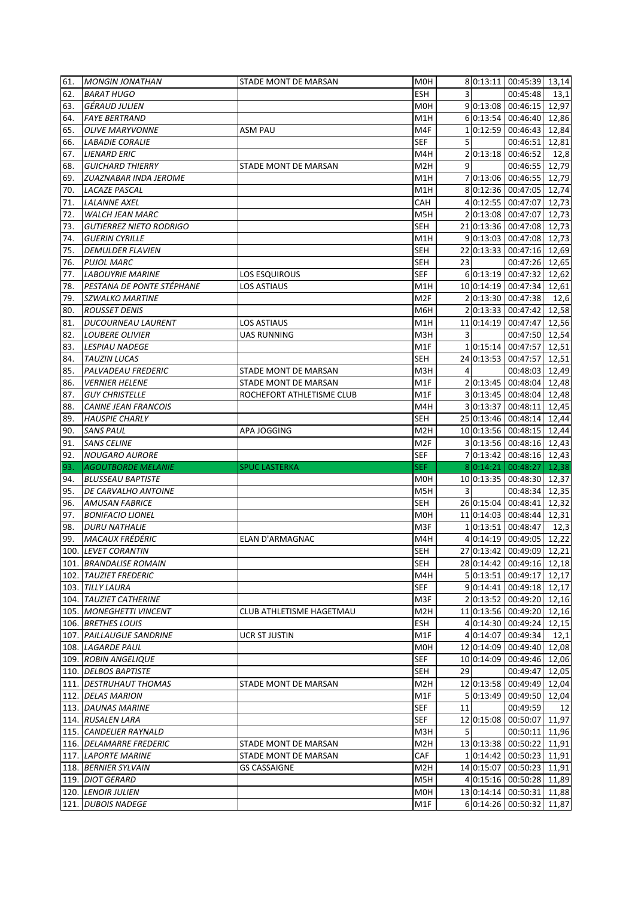| 61. | <b>MONGIN JONATHAN</b>         | STADE MONT DE MARSAN      | M0H              |    |           | 8 0:13:11 00:45:39 13,14                  |       |
|-----|--------------------------------|---------------------------|------------------|----|-----------|-------------------------------------------|-------|
| 62. | <b>BARAT HUGO</b>              |                           | <b>ESH</b>       | 3  |           | 00:45:48                                  | 13,1  |
| 63. | <b>GÉRAUD JULIEN</b>           |                           | M <sub>O</sub> H |    |           | 9 0:13:08 00:46:15                        | 12,97 |
| 64. | <b>FAYE BERTRAND</b>           |                           | M1H              |    |           | 60:13:54 00:46:40                         | 12,86 |
| 65. | <b>OLIVE MARYVONNE</b>         | <b>ASM PAU</b>            | M4F              |    |           | 10:12:59 00:46:43                         | 12,84 |
| 66. | <b>LABADIE CORALIE</b>         |                           | SEF              | 5  |           | 00:46:51                                  | 12,81 |
| 67. | <b>LIENARD ERIC</b>            |                           | M4H              |    |           | 2 0:13:18 00:46:52                        | 12,8  |
| 68. | <b>GUICHARD THIERRY</b>        | STADE MONT DE MARSAN      | M <sub>2</sub> H | 9  |           | 00:46:55                                  | 12,79 |
| 69. | ZUAZNABAR INDA JEROME          |                           | M1H              |    |           | 7 0:13:06 00:46:55                        | 12,79 |
| 70. | <b>LACAZE PASCAL</b>           |                           | M <sub>1</sub> H |    |           | 8 0:12:36 00:47:05                        | 12,74 |
| 71. | <b>LALANNE AXEL</b>            |                           | CAH              |    |           | 4 0:12:55 00:47:07                        | 12,73 |
| 72. | <b>WALCH JEAN MARC</b>         |                           | M5H              |    |           | 20:13:08 00:47:07                         | 12,73 |
| 73. | <b>GUTIERREZ NIETO RODRIGO</b> |                           | <b>SEH</b>       |    |           | 21 0:13:36 00:47:08                       | 12,73 |
| 74. | <b>GUERIN CYRILLE</b>          |                           | M1H              |    |           | 9 0:13:03 00:47:08                        | 12,73 |
| 75. | <b>DEMULDER FLAVIEN</b>        |                           | SEH              |    |           | 22 0:13:33 00:47:16                       | 12,69 |
| 76. | <b>PUJOL MARC</b>              |                           | <b>SEH</b>       | 23 |           | 00:47:26                                  | 12,65 |
| 77. | <b>LABOUYRIE MARINE</b>        | LOS ESQUIROUS             | <b>SEF</b>       |    |           | 6 0:13:19 00:47:32                        | 12,62 |
| 78. | PESTANA DE PONTE STÉPHANE      | <b>LOS ASTIAUS</b>        | M1H              |    |           | 10 0:14:19 00:47:34                       | 12,61 |
| 79. | <b>SZWALKO MARTINE</b>         |                           | M <sub>2F</sub>  |    |           | 2 0:13:30 00:47:38                        | 12,6  |
| 80. | <b>ROUSSET DENIS</b>           |                           | M6H              |    |           | 2 0:13:33 00:47:42                        | 12,58 |
| 81. | <b>DUCOURNEAU LAURENT</b>      | <b>LOS ASTIAUS</b>        | M1H              |    |           | 11 0:14:19 00:47:47                       | 12,56 |
| 82. | <b>LOUBERE OLIVIER</b>         | <b>UAS RUNNING</b>        | M3H              | 3  |           | 00:47:50                                  | 12,54 |
| 83. | <b>LESPIAU NADEGE</b>          |                           | M1F              |    |           | 10:15:14 00:47:57                         | 12,51 |
| 84. | <b>TAUZIN LUCAS</b>            |                           | <b>SEH</b>       |    |           | 24 0:13:53 00:47:57                       | 12,51 |
| 85. | PALVADEAU FREDERIC             | STADE MONT DE MARSAN      | M3H              | 4  |           | 00:48:03                                  | 12,49 |
| 86. | <b>VERNIER HELENE</b>          | STADE MONT DE MARSAN      | M1F              |    |           | 20:13:45 00:48:04                         | 12,48 |
| 87. | <b>GUY CHRISTELLE</b>          | ROCHEFORT ATHLETISME CLUB | M1F              |    |           | 3 0:13:45 00:48:04                        | 12,48 |
|     | <b>CANNE JEAN FRANCOIS</b>     |                           | M4H              |    |           | 3 0:13:37 00:48:11                        | 12,45 |
| 88. |                                |                           |                  |    |           |                                           |       |
| 89. | <b>HAUSPIE CHARLY</b>          |                           | <b>SEH</b>       |    |           | 25 0:13:46 00:48:14                       | 12,44 |
| 90. | <b>SANS PAUL</b>               | APA JOGGING               | M2H              |    |           | 10 0:13:56 00:48:15                       | 12,44 |
|     |                                |                           |                  |    |           |                                           |       |
| 91. | <b>SANS CELINE</b>             |                           | M2F              |    |           | 3 0:13:56 00:48:16                        | 12,43 |
| 92. | <b>NOUGARO AURORE</b>          |                           | <b>SEF</b>       |    |           | 7 0:13:42 00:48:16 12,43                  |       |
| 93. | <b>AGOUTBORDE MELANIE</b>      | <b>SPUC LASTERKA</b>      | <b>SEF</b>       |    | 8 0:14:21 | 00:48:27                                  | 12,38 |
| 94. | <b>BLUSSEAU BAPTISTE</b>       |                           | M0H              |    |           | 10 0:13:35 00:48:30 12,37                 |       |
| 95. | DE CARVALHO ANTOINE            |                           | M5H              | 3  |           | 00:48:34                                  | 12,35 |
| 96. | <b>AMUSAN FABRICE</b>          |                           | <b>SEH</b>       |    |           | 26 0:15:04 00:48:41                       | 12,32 |
| 97. | <b>BONIFACIO LIONEL</b>        |                           | <b>MOH</b>       |    |           | 11 0:14:03 00:48:44                       | 12,31 |
| 98. | <b>DURU NATHALIE</b>           |                           | M3F              |    |           | 10:13:51 00:48:47                         | 12,3  |
| 99. | <b>MACAUX FRÉDÉRIC</b>         | ELAN D'ARMAGNAC           | M4H              |    |           | 4 0:14:19 00:49:05                        | 12,22 |
|     | 100. LEVET CORANTIN            |                           | <b>SEH</b>       |    |           | 27 0:13:42 00:49:09 12,21                 |       |
|     | 101. BRANDALISE ROMAIN         |                           | <b>SEH</b>       |    |           | 28 0:14:42 00:49:16 12,18                 |       |
|     | 102. TAUZIET FREDERIC          |                           | M4H              |    |           | 5 0:13:51 00:49:17                        | 12,17 |
|     | 103. TILLY LAURA               |                           | <b>SEF</b>       |    |           | 9 0:14:41 00:49:18                        | 12,17 |
|     | 104. TAUZIET CATHERINE         |                           | M3F              |    |           | 20:13:52 00:49:20                         | 12,16 |
|     | 105. MONEGHETTI VINCENT        | CLUB ATHLETISME HAGETMAU  | M <sub>2</sub> H |    |           | 11 0:13:56 00:49:20                       | 12,16 |
|     | 106. BRETHES LOUIS             |                           | ESH              |    |           | 4 0:14:30 00:49:24                        | 12,15 |
|     | 107. PAILLAUGUE SANDRINE       | UCR ST JUSTIN             | M1F              |    |           | 4 0:14:07 00:49:34                        | 12,1  |
|     | 108. LAGARDE PAUL              |                           | M0H              |    |           | 12 0:14:09 00:49:40                       | 12,08 |
|     | 109. ROBIN ANGELIQUE           |                           | <b>SEF</b>       |    |           | 10 0:14:09 00:49:46                       | 12,06 |
|     | 110. DELBOS BAPTISTE           |                           | <b>SEH</b>       | 29 |           | 00:49:47                                  | 12,05 |
|     | 111. DESTRUHAUT THOMAS         | STADE MONT DE MARSAN      | M <sub>2</sub> H |    |           | 12 0:13:58 00:49:49                       | 12,04 |
|     | 112. DELAS MARION              |                           | M1F              |    |           | 5 0:13:49 00:49:50                        | 12,04 |
|     | 113. DAUNAS MARINE             |                           | <b>SEF</b>       | 11 |           | 00:49:59                                  | 12    |
|     | 114. RUSALEN LARA              |                           | <b>SEF</b>       |    |           | 12 0:15:08 00:50:07                       | 11,97 |
|     | 115. CANDELIER RAYNALD         |                           | M3H              | 5  |           | 00:50:11                                  | 11,96 |
|     | 116. DELAMARRE FREDERIC        | STADE MONT DE MARSAN      | M <sub>2</sub> H |    |           | 13 0:13:38 00:50:22                       | 11,91 |
|     | 117. LAPORTE MARINE            | STADE MONT DE MARSAN      | CAF              |    |           | 10:14:42 00:50:23                         | 11,91 |
|     | 118. BERNIER SYLVAIN           | <b>GS CASSAIGNE</b>       | M <sub>2</sub> H |    |           | 14 0:15:07 00:50:23                       | 11,91 |
|     | 119. DIOT GERARD               |                           | M5H              |    |           | 4 0:15:16 00:50:28                        | 11,89 |
|     | 120. LENOIR JULIEN             |                           | M0H              |    |           | 13 0:14:14 00:50:31<br>6 0:14:26 00:50:32 | 11,88 |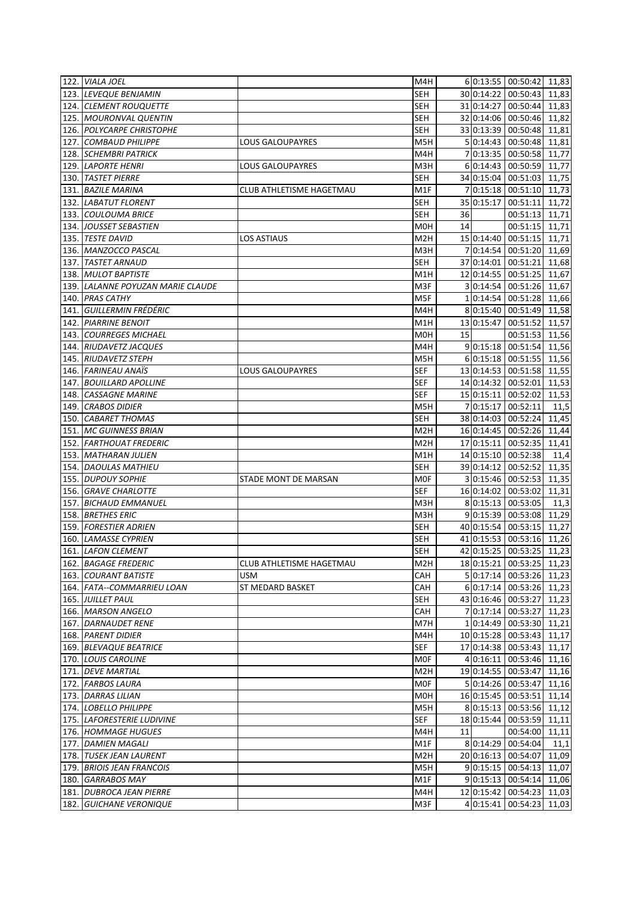|      | 122. VIALA JOEL                   |                                 | M4H              |    |            | 6 0:13:55 00:50:42        | 11,83 |
|------|-----------------------------------|---------------------------------|------------------|----|------------|---------------------------|-------|
|      | 123. LEVEQUE BENJAMIN             |                                 | SEH              |    |            | 30 0:14:22 00:50:43       | 11,83 |
|      | 124. CLEMENT ROUQUETTE            |                                 | SEH              |    |            | 31 0:14:27 00:50:44       | 11,83 |
|      | 125. MOURONVAL QUENTIN            |                                 | <b>SEH</b>       |    |            | 32 0:14:06 00:50:46       | 11,82 |
|      | 126. POLYCARPE CHRISTOPHE         |                                 | SEH              |    |            | 33 0:13:39 00:50:48       | 11,81 |
|      | 127. COMBAUD PHILIPPE             | LOUS GALOUPAYRES                | M5H              |    |            | 5 0:14:43 00:50:48        | 11,81 |
|      | 128. SCHEMBRI PATRICK             |                                 | M4H              |    |            | 7 0:13:35 00:50:58        | 11,77 |
|      | 129. LAPORTE HENRI                | LOUS GALOUPAYRES                | M3H              |    |            | 6 0:14:43 00:50:59        | 11,77 |
|      | 130. TASTET PIERRE                |                                 | <b>SEH</b>       |    |            | 34 0:15:04 00:51:03       | 11,75 |
|      | 131. BAZILE MARINA                | <b>CLUB ATHLETISME HAGETMAU</b> | M1F              |    |            | 70:15:18 00:51:10         | 11,73 |
|      | 132. LABATUT FLORENT              |                                 | SEH              |    |            | 35 0:15:17 00:51:11       | 11,72 |
|      | 133. COULOUMA BRICE               |                                 | <b>SEH</b>       | 36 |            | 00:51:13                  | 11,71 |
|      |                                   |                                 |                  |    |            |                           | 11,71 |
|      | 134. JOUSSET SEBASTIEN            |                                 | M0H              | 14 |            | 00:51:15                  |       |
|      | 135. TESTE DAVID                  | LOS ASTIAUS                     | M <sub>2</sub> H |    |            | 15 0:14:40 00:51:15       | 11,71 |
|      | 136. MANZOCCO PASCAL              |                                 | M3H              |    |            | 7 0:14:54 00:51:20        | 11,69 |
|      | 137. TASTET ARNAUD                |                                 | SEH              |    |            | 37 0:14:01 00:51:21       | 11,68 |
|      | 138. MULOT BAPTISTE               |                                 | M1H              |    |            | 12 0:14:55 00:51:25       | 11,67 |
|      | 139. LALANNE POYUZAN MARIE CLAUDE |                                 | M3F              |    |            | 30:14:54 00:51:26         | 11,67 |
|      | 140. PRAS CATHY                   |                                 | M5F              |    |            | 10:14:54 00:51:28         | 11,66 |
| 141. | <b>GUILLERMIN FRÉDÉRIC</b>        |                                 | M4H              |    |            | 8 0:15:40 00:51:49        | 11,58 |
| 142. | <b>PIARRINE BENOIT</b>            |                                 | M1H              |    | 13 0:15:47 | 00:51:52                  | 11,57 |
|      | 143. COURREGES MICHAEL            |                                 | M0H              | 15 |            | 00:51:53                  | 11,56 |
|      | 144. RIUDAVETZ JACQUES            |                                 | M4H              |    |            | 9 0:15:18 00:51:54        | 11,56 |
|      | 145. RIUDAVETZ STEPH              |                                 | M5H              |    |            | 6 0:15:18 00:51:55        | 11,56 |
|      | 146. FARINEAU ANAIS               | <b>LOUS GALOUPAYRES</b>         | SEF              |    |            | 13 0:14:53 00:51:58       | 11,55 |
|      | 147. BOUILLARD APOLLINE           |                                 | SEF              |    |            | 14 0:14:32 00:52:01       | 11,53 |
|      | 148. CASSAGNE MARINE              |                                 | <b>SEF</b>       |    |            | 15 0:15:11 00:52:02       | 11,53 |
|      | 149. CRABOS DIDIER                |                                 | M5H              |    |            | 7 0:15:17 00:52:11        | 11,5  |
|      | 150. CABARET THOMAS               |                                 | <b>SEH</b>       |    |            | 38 0:14:03 00:52:24       | 11,45 |
|      | 151. MC GUINNESS BRIAN            |                                 | M2H              |    |            | 16 0:14:45 00:52:26       | 11,44 |
|      | 152. FARTHOUAT FREDERIC           |                                 | M2H              |    |            | 17 0:15:11 00:52:35       | 11,41 |
|      | 153. MATHARAN JULIEN              |                                 | M1H              |    |            | 14 0:15:10 00:52:38       | 11,4  |
|      | 154. DAOULAS MATHIEU              |                                 | <b>SEH</b>       |    |            | 39 0:14:12 00:52:52       | 11,35 |
|      | 155. DUPOUY SOPHIE                | STADE MONT DE MARSAN            | <b>MOF</b>       |    |            | 30:15:46 00:52:53         | 11,35 |
|      | 156. GRAVE CHARLOTTE              |                                 | <b>SEF</b>       |    |            | 16 0:14:02 00:53:02       | 11,31 |
|      |                                   |                                 |                  |    |            |                           |       |
|      | 157. BICHAUD EMMANUEL             |                                 | M3H              |    |            | 8 0:15:13 00:53:05        | 11,3  |
|      | 158. BRETHES ERIC                 |                                 | M3H              |    |            | 9 0:15:39 00:53:08        | 11,29 |
|      | 159. FORESTIER ADRIEN             |                                 | SEH              |    |            | 40 0:15:54 00:53:15       | 11,27 |
|      | 160. LAMASSE CYPRIEN              |                                 | SEH              |    |            | 41 0:15:53 00:53:16       | 11,26 |
|      | 161. LAFON CLEMENT                |                                 | <b>SEH</b>       |    |            | 42 0:15:25 00:53:25 11,23 |       |
|      | 162. BAGAGE FREDERIC              | CLUB ATHLETISME HAGETMAU        | M <sub>2</sub> H |    |            | 18 0:15:21 00:53:25 11,23 |       |
|      | 163. COURANT BATISTE              | <b>USM</b>                      | CAH              |    |            | 5 0:17:14 00:53:26        | 11,23 |
|      | 164. FATA--COMMARRIEU LOAN        | ST MEDARD BASKET                | CAH              |    |            | 6 0:17:14 00:53:26        | 11,23 |
|      | 165. JUILLET PAUL                 |                                 | <b>SEH</b>       |    |            | 43 0:16:46 00:53:27       | 11,23 |
|      | 166. MARSON ANGELO                |                                 | CAH              |    |            | 7 0:17:14 00:53:27        | 11,23 |
|      | 167. DARNAUDET RENE               |                                 | M7H              |    |            | 10:14:49 00:53:30 11,21   |       |
|      | 168. PARENT DIDIER                |                                 | M4H              |    |            | 10 0:15:28 00:53:43       | 11,17 |
|      | 169. BLEVAQUE BEATRICE            |                                 | <b>SEF</b>       |    |            | 17 0:14:38 00:53:43       | 11,17 |
|      | 170. LOUIS CAROLINE               |                                 | <b>MOF</b>       |    |            | 4 0:16:11 00:53:46        | 11,16 |
|      | 171. DEVE MARTIAL                 |                                 | M <sub>2</sub> H |    |            | 19 0:14:55 00:53:47       | 11,16 |
|      | 172. FARBOS LAURA                 |                                 | <b>MOF</b>       |    |            | 5 0:14:26 00:53:47        | 11,16 |
|      | 173. DARRAS LILIAN                |                                 | M0H              |    |            | 16 0:15:45 00:53:51       | 11,14 |
|      | 174. LOBELLO PHILIPPE             |                                 | M5H              |    |            | 8 0:15:13 00:53:56 11,12  |       |
|      | 175. LAFORESTERIE LUDIVINE        |                                 | <b>SEF</b>       |    |            | 18 0:15:44 00:53:59       | 11,11 |
|      | 176. HOMMAGE HUGUES               |                                 | M4H              | 11 |            | 00:54:00                  | 11,11 |
|      | 177. DAMIEN MAGALI                |                                 | M1F              |    |            | 80:14:29 00:54:04         | 11,1  |
|      | 178. TUSEK JEAN LAURENT           |                                 | M <sub>2</sub> H |    |            | 20 0:16:13 00:54:07       | 11,09 |
|      | 179. BRIOIS JEAN FRANCOIS         |                                 | M5H              |    |            | 9 0:15:15 00:54:13        | 11,07 |
|      |                                   |                                 |                  |    |            |                           |       |
|      | 180. GARRABOS MAY                 |                                 | M1F              |    |            | 9 0:15:13 00:54:14        | 11,06 |
|      | 181. DUBROCA JEAN PIERRE          |                                 | M4H              |    |            | 12 0:15:42 00:54:23       | 11,03 |
|      | 182. GUICHANE VERONIQUE           |                                 | M3F              |    |            | 4 0:15:41 00:54:23        | 11,03 |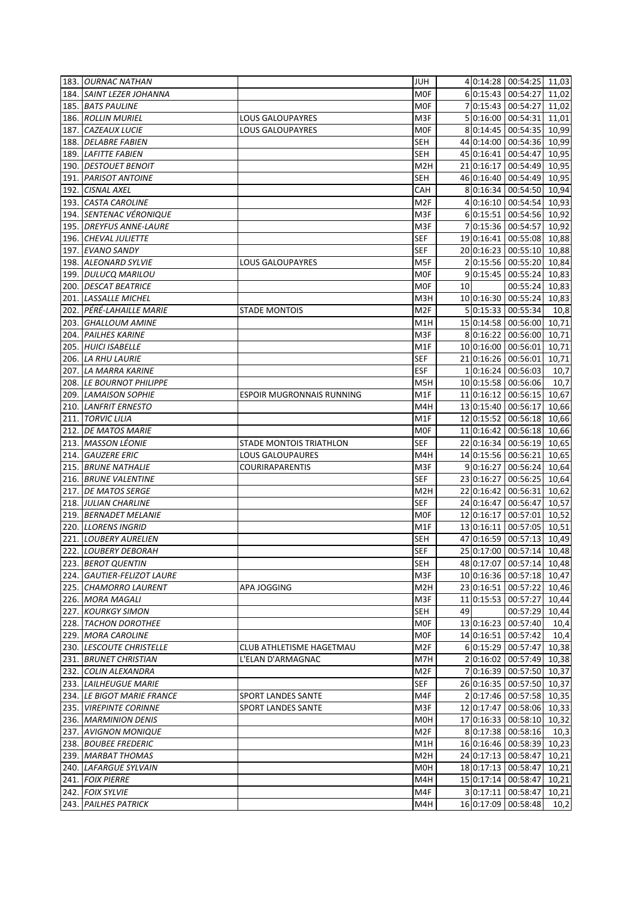|      | 183. OURNAC NATHAN         |                           | JUH              |    |            | 4 0:14:28 00:54:25        | 11,03 |
|------|----------------------------|---------------------------|------------------|----|------------|---------------------------|-------|
|      | 184. SAINT LEZER JOHANNA   |                           | MOF              |    |            | 6 0:15:43 00:54:27        | 11,02 |
|      | 185. BATS PAULINE          |                           | <b>MOF</b>       |    |            | 7 0:15:43 00:54:27        | 11,02 |
|      | 186. ROLLIN MURIEL         | LOUS GALOUPAYRES          | M3F              |    |            | 5 0:16:00 00:54:31        | 11,01 |
|      | 187. CAZEAUX LUCIE         | <b>LOUS GALOUPAYRES</b>   | MOF              |    |            | 8 0:14:45 00:54:35        | 10,99 |
|      | 188. DELABRE FABIEN        |                           | <b>SEH</b>       |    |            | 44 0:14:00 00:54:36       | 10,99 |
|      | 189. LAFITTE FABIEN        |                           | SEH              |    |            | 45 0:16:41 00:54:47       | 10,95 |
|      | 190. DESTOUET BENOIT       |                           | M <sub>2</sub> H |    | 21 0:16:17 | 00:54:49                  | 10,95 |
|      | 191. PARISOT ANTOINE       |                           | SEH              |    |            | 46 0:16:40 00:54:49       | 10,95 |
|      | 192. CISNAL AXEL           |                           | CAH              |    |            | 8 0:16:34 00:54:50        | 10,94 |
|      | 193. CASTA CAROLINE        |                           | M <sub>2F</sub>  |    |            | 4 0:16:10 00:54:54        | 10,93 |
|      | 194. SENTENAC VÉRONIQUE    |                           | M3F              |    |            | 6 0:15:51 00:54:56        | 10,92 |
|      | 195. DREYFUS ANNE-LAURE    |                           | M3F              |    |            | 7 0:15:36 00:54:57        | 10,92 |
|      | 196. CHEVAL JULIETTE       |                           | <b>SEF</b>       |    |            | 19 0:16:41 00:55:08       | 10,88 |
|      | 197. EVANO SANDY           |                           | SEF              |    |            | 20 0:16:23 00:55:10       | 10,88 |
|      | 198. ALEONARD SYLVIE       | LOUS GALOUPAYRES          | M5F              |    |            | 20:15:56 00:55:20         | 10,84 |
|      | 199. DULUCQ MARILOU        |                           | M0F              |    |            | 9 0:15:45 00:55:24        | 10,83 |
|      | 200. DESCAT BEATRICE       |                           | M0F              | 10 |            | 00:55:24                  | 10,83 |
|      | 201. LASSALLE MICHEL       |                           | M3H              |    |            | 10 0:16:30 00:55:24       | 10,83 |
| 202. | PÉRÉ-LAHAILLE MARIE        | <b>STADE MONTOIS</b>      | M <sub>2F</sub>  |    |            | 5 0:15:33 00:55:34        | 10,8  |
| 203. | <b>GHALLOUM AMINE</b>      |                           | M1H              |    |            | 15 0:14:58 00:56:00       | 10,71 |
|      | 204. PAILHES KARINE        |                           | M3F              |    |            | 80:16:22 00:56:00         | 10,71 |
|      | 205. HUICI ISABELLE        |                           | M1F              |    |            | 10 0:16:00 00:56:01       | 10,71 |
|      | 206. LA RHU LAURIE         |                           | SEF              |    |            | 21 0:16:26 00:56:01       | 10,71 |
|      |                            |                           | ESF              |    |            | 10:16:24 00:56:03         |       |
|      | 207. LA MARRA KARINE       |                           |                  |    |            | 10 0:15:58 00:56:06       | 10,7  |
|      | 208. LE BOURNOT PHILIPPE   |                           | M5H              |    |            |                           | 10,7  |
|      | 209. LAMAISON SOPHIE       | ESPOIR MUGRONNAIS RUNNING | M1F              |    |            | 11 0:16:12 00:56:15       | 10,67 |
|      | 210. LANFRIT ERNESTO       |                           | M4H              |    |            | 13 0:15:40 00:56:17       | 10,66 |
| 211. | <b>TORVIC LILIA</b>        |                           | M1F              |    |            | 12 0:15:52 00:56:18       | 10,66 |
|      | 212. DE MATOS MARIE        |                           | M0F              |    |            | 11 0:16:42 00:56:18       | 10,66 |
|      | 213. MASSON LÉONIE         | STADE MONTOIS TRIATHLON   | SEF              |    |            | 22 0:16:34 00:56:19       | 10,65 |
|      | 214. GAUZERE ERIC          | LOUS GALOUPAURES          | M4H              |    |            | 14 0:15:56 00:56:21       | 10,65 |
|      | 215. BRUNE NATHALIE        | <b>COURIRAPARENTIS</b>    | M3F              |    |            | 9 0:16:27 00:56:24        | 10,64 |
|      | 216. BRUNE VALENTINE       |                           | <b>SEF</b>       |    |            | 23 0:16:27 00:56:25       | 10,64 |
|      | 217. DE MATOS SERGE        |                           | M <sub>2</sub> H |    |            | 22 0:16:42 00:56:31       | 10,62 |
|      | 218. JULIAN CHARLINE       |                           | <b>SEF</b>       |    |            | 24 0:16:47 00:56:47       | 10,57 |
|      | 219. BERNADET MELANIE      |                           | <b>MOF</b>       |    | 12 0:16:17 | 00:57:01                  | 10,52 |
|      | 220. LLORENS INGRID        |                           | M1F              |    |            | 13 0:16:11 00:57:05       | 10,51 |
|      | 221. LOUBERY AURELIEN      |                           | SEH              |    |            | 47 0:16:59 00:57:13       | 10,49 |
|      | 222. LOUBERY DEBORAH       |                           | <b>SEF</b>       |    |            | 25 0:17:00 00:57:14       | 10,48 |
|      | 223. BEROT QUENTIN         |                           | <b>SEH</b>       |    |            | 48 0:17:07 00:57:14 10,48 |       |
|      | 224. GAUTIER-FELIZOT LAURE |                           | M3F              |    |            | 10 0:16:36 00:57:18       | 10,47 |
|      | 225. CHAMORRO LAURENT      | APA JOGGING               | M <sub>2</sub> H |    |            | 23 0:16:51 00:57:22       | 10,46 |
|      | 226. MORA MAGALI           |                           | M3F              |    |            | 11 0:15:53 00:57:27       | 10,44 |
|      | 227. KOURKGY SIMON         |                           | <b>SEH</b>       | 49 |            | 00:57:29                  | 10,44 |
|      | 228. TACHON DOROTHEE       |                           | <b>MOF</b>       |    |            | 13 0:16:23 00:57:40       | 10,4  |
|      | 229. MORA CAROLINE         |                           | MOF              |    |            | 14 0:16:51 00:57:42       | 10,4  |
|      | 230. LESCOUTE CHRISTELLE   | CLUB ATHLETISME HAGETMAU  | M2F              |    |            | 6 0:15:29 00:57:47        | 10,38 |
|      | 231. BRUNET CHRISTIAN      | L'ELAN D'ARMAGNAC         | M7H              |    |            | 20:16:02 00:57:49         | 10,38 |
|      | 232. COLIN ALEXANDRA       |                           | M <sub>2F</sub>  |    |            | 7 0:16:39 00:57:50        | 10,37 |
|      | 233. LAILHEUGUE MARIE      |                           | <b>SEF</b>       |    |            | 26 0:16:35 00:57:50       | 10,37 |
|      | 234. LE BIGOT MARIE FRANCE | SPORT LANDES SANTE        | M4F              |    |            | 20:17:46 00:57:58         | 10,35 |
|      | 235. VIREPINTE CORINNE     | <b>SPORT LANDES SANTE</b> | M3F              |    |            | 12 0:17:47 00:58:06 10,33 |       |
|      | 236. MARMINION DENIS       |                           | M0H              |    |            | 17 0:16:33 00:58:10       | 10,32 |
|      | 237. AVIGNON MONIQUE       |                           | M <sub>2F</sub>  |    |            | 80:17:38 00:58:16         | 10,3  |
|      | 238. BOUBEE FREDERIC       |                           | M1H              |    |            | 16 0:16:46 00:58:39       | 10,23 |
|      | 239. MARBAT THOMAS         |                           | M <sub>2</sub> H |    |            | 24 0:17:13 00:58:47       | 10,21 |
|      | 240. LAFARGUE SYLVAIN      |                           | M0H              |    |            | 18 0:17:13 00:58:47       | 10,21 |
|      | 241. FOIX PIERRE           |                           | M4H              |    |            | 15 0:17:14 00:58:47       | 10,21 |
|      | 242. FOIX SYLVIE           |                           | M4F              |    |            | 3 0:17:11 00:58:47        | 10,21 |
|      | 243. PAILHES PATRICK       |                           | M4H              |    |            | 16 0:17:09 00:58:48       | 10,2  |
|      |                            |                           |                  |    |            |                           |       |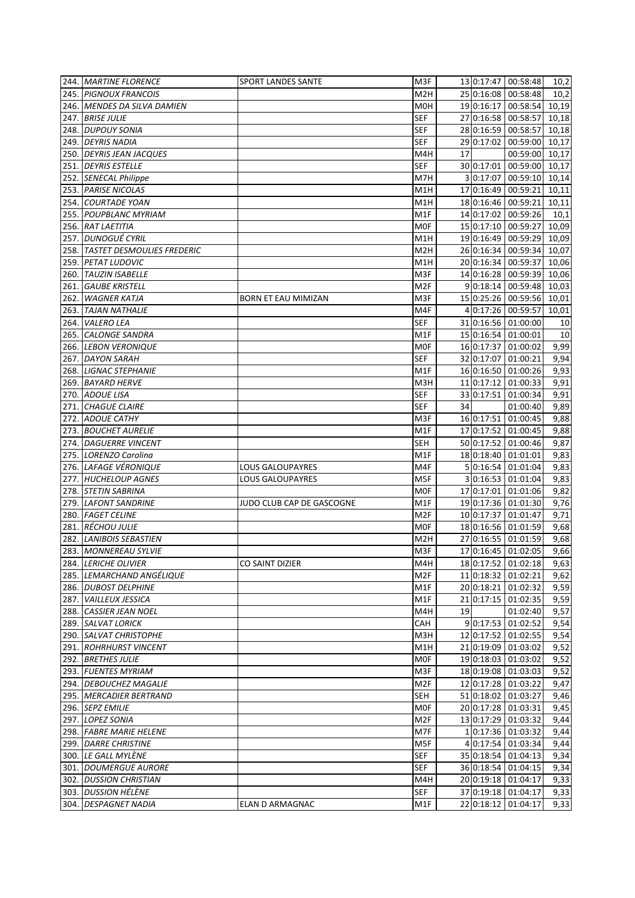| 244. MARTINE FLORENCE           | SPORT LANDES SANTE         | M3F              |    |           | 13 0:17:47 00:58:48   | 10,2  |
|---------------------------------|----------------------------|------------------|----|-----------|-----------------------|-------|
| 245. PIGNOUX FRANCOIS           |                            | M <sub>2</sub> H |    |           | 25 0:16:08 00:58:48   | 10,2  |
| 246. MENDES DA SILVA DAMIEN     |                            | M <sub>O</sub> H |    |           | 19 0:16:17 00:58:54   | 10,19 |
| 247. BRISE JULIE                |                            | <b>SEF</b>       |    |           | 27 0:16:58 00:58:57   | 10,18 |
| 248. DUPOUY SONIA               |                            | <b>SEF</b>       |    |           | 28 0:16:59 00:58:57   | 10,18 |
| 249. DEYRIS NADIA               |                            | <b>SEF</b>       |    |           | 29 0:17:02 00:59:00   | 10,17 |
| 250. DEYRIS JEAN JACQUES        |                            | M4H              | 17 |           | 00:59:00              | 10,17 |
| 251. DEYRIS ESTELLE             |                            | <b>SEF</b>       |    |           | 30 0:17:01 00:59:00   | 10,17 |
| 252. SENECAL Philippe           |                            | M7H              |    | 3 0:17:07 | 00:59:10              | 10,14 |
| 253. PARISE NICOLAS             |                            | M1H              |    |           | 17 0:16:49 00:59:21   | 10,11 |
| 254. COURTADE YOAN              |                            | M1H              |    |           | 18 0:16:46 00:59:21   | 10,11 |
| 255. POUPBLANC MYRIAM           |                            | M1F              |    |           | 14 0:17:02 00:59:26   | 10,1  |
| 256. RAT LAETITIA               |                            | <b>MOF</b>       |    |           | 15 0:17:10 00:59:27   | 10,09 |
| 257. DUNOGUÉ CYRIL              |                            | M1H              |    |           | 19 0:16:49 00:59:29   | 10,09 |
| 258. TASTET DESMOULIES FREDERIC |                            | M <sub>2</sub> H |    |           | 26 0:16:34 00:59:34   | 10,07 |
|                                 |                            |                  |    |           |                       |       |
| 259. PETAT LUDOVIC              |                            | M1H              |    |           | 20 0:16:34 00:59:37   | 10,06 |
| 260. TAUZIN ISABELLE            |                            | M3F              |    |           | 14 0:16:28 00:59:39   | 10,06 |
| 261. GAUBE KRISTELL             |                            | M <sub>2F</sub>  |    |           | 9 0:18:14 00:59:48    | 10,03 |
| 262. WAGNER KATJA               | <b>BORN ET EAU MIMIZAN</b> | M3F              |    |           | 15 0:25:26 00:59:56   | 10,01 |
| 263. TAJAN NATHALIE             |                            | M4F              |    |           | 4 0:17:26 00:59:57    | 10,01 |
| 264. VALERO LEA                 |                            | <b>SEF</b>       |    |           | 31 0:16:56 01:00:00   | 10    |
| 265. CALONGE SANDRA             |                            | M1F              |    |           | 15 0:16:54 01:00:01   | 10    |
| 266. LEBON VERONIQUE            |                            | M0F              |    |           | 16 0:17:37 01:00:02   | 9,99  |
| 267. DAYON SARAH                |                            | SEF              |    |           | 32 0:17:07   01:00:21 | 9,94  |
| 268. LIGNAC STEPHANIE           |                            | M1F              |    |           | 16 0:16:50 01:00:26   | 9,93  |
| 269. BAYARD HERVE               |                            | M3H              |    |           | 11 0:17:12 01:00:33   | 9,91  |
| 270. ADOUE LISA                 |                            | <b>SEF</b>       |    |           | 33 0:17:51 01:00:34   | 9,91  |
| 271. CHAGUE CLAIRE              |                            | <b>SEF</b>       | 34 |           | 01:00:40              | 9,89  |
| 272. ADOUE CATHY                |                            | M3F              |    |           | 16 0:17:51 01:00:45   | 9,88  |
| 273. BOUCHET AURELIE            |                            | M1F              |    |           | 17 0:17:52 01:00:45   | 9,88  |
| 274. DAGUERRE VINCENT           |                            | <b>SEH</b>       |    |           | 50 0:17:52 01:00:46   | 9,87  |
| 275. LORENZO Carolina           |                            | M1F              |    |           | 18 0:18:40 01:01:01   | 9,83  |
| 276. LAFAGE VÉRONIQUE           | LOUS GALOUPAYRES           | M4F              |    |           | 5 0:16:54 01:01:04    | 9,83  |
| 277. HUCHELOUP AGNES            | <b>LOUS GALOUPAYRES</b>    | M5F              |    |           | 3 0:16:53 01:01:04    | 9,83  |
| 278. STETIN SABRINA             |                            | <b>MOF</b>       |    |           | 17 0:17:01 01:01:06   | 9,82  |
| 279. LAFONT SANDRINE            | JUDO CLUB CAP DE GASCOGNE  | M1F              |    |           | 19 0:17:36 01:01:30   | 9,76  |
| 280. FAGET CELINE               |                            | M <sub>2F</sub>  |    |           | 10 0:17:37 01:01:47   | 9,71  |
| 281. RÉCHOU JULIE               |                            | <b>MOF</b>       |    |           | 18 0:16:56 01:01:59   | 9,68  |
| 282. LANIBOIS SEBASTIEN         |                            | M <sub>2</sub> H |    |           | 27 0:16:55 01:01:59   | 9,68  |
| 283. MONNEREAU SYLVIE           |                            | M3F              |    |           | 17 0:16:45 01:02:05   | 9,66  |
|                                 |                            |                  |    |           |                       |       |
| 284. LERICHE OLIVIER            | CO SAINT DIZIER            | M4H              |    |           | 18 0:17:52 01:02:18   | 9,63  |
| 285. LEMARCHAND ANGÉLIQUE       |                            | M <sub>2F</sub>  |    |           | 11 0:18:32 01:02:21   | 9,62  |
| 286. DUBOST DELPHINE            |                            | M1F              |    |           | 20 0:18:21 01:02:32   | 9,59  |
| 287. VAILLEUX JESSICA           |                            | M1F              |    |           | 21 0:17:15 01:02:35   | 9,59  |
| 288. CASSIER JEAN NOEL          |                            | M4H              | 19 |           | 01:02:40              | 9,57  |
| 289. SALVAT LORICK              |                            | CAH              |    |           | 9 0:17:53 01:02:52    | 9,54  |
| 290. SALVAT CHRISTOPHE          |                            | M3H              |    |           | 12 0:17:52 01:02:55   | 9,54  |
| 291. ROHRHURST VINCENT          |                            | M1H              |    |           | 21 0:19:09 01:03:02   | 9,52  |
| 292. BRETHES JULIE              |                            | MOF              |    |           | 19 0:18:03 01:03:02   | 9,52  |
| 293. FUENTES MYRIAM             |                            | M3F              |    |           | 18 0:19:08 01:03:03   | 9,52  |
| 294. DEBOUCHEZ MAGALIE          |                            | M <sub>2F</sub>  |    |           | 12 0:17:28 01:03:22   | 9,47  |
| 295. MERCADIER BERTRAND         |                            | <b>SEH</b>       |    |           | 51 0:18:02 01:03:27   | 9,46  |
| 296. SEPZ EMILIE                |                            | <b>MOF</b>       |    |           | 20 0:17:28 01:03:31   | 9,45  |
| 297. LOPEZ SONIA                |                            | M <sub>2F</sub>  |    |           | 13 0:17:29 01:03:32   | 9,44  |
| 298. FABRE MARIE HELENE         |                            | M7F              |    |           | 10:17:36 01:03:32     | 9,44  |
| 299. DARRE CHRISTINE            |                            | M5F              |    |           | 4 0:17:54 01:03:34    | 9,44  |
| 300. LE GALL MYLÈNE             |                            | <b>SEF</b>       |    |           | 35 0:18:54 01:04:13   | 9,34  |
| 301. DOUMERGUE AURORE           |                            | <b>SEF</b>       |    |           | 36 0:18:54 01:04:15   | 9,34  |
| 302. DUSSION CHRISTIAN          |                            | M4H              |    |           | 20 0:19:18 01:04:17   | 9,33  |
| 303. DUSSION HÉLÈNE             |                            | <b>SEF</b>       |    |           | 37 0:19:18 01:04:17   | 9,33  |
| 304. DESPAGNET NADIA            | ELAN D ARMAGNAC            | M1F              |    |           | 22 0:18:12 01:04:17   | 9,33  |
|                                 |                            |                  |    |           |                       |       |